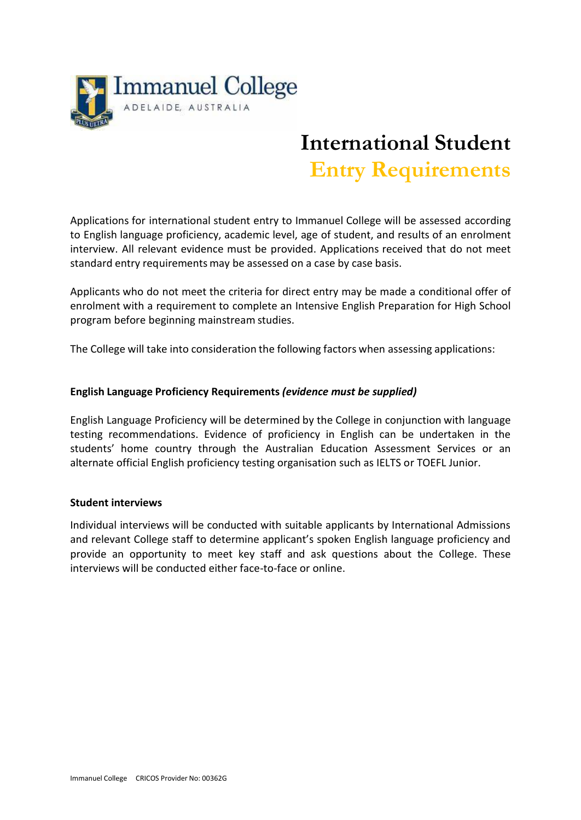

# **International Student Entry Requirements**

Applications for international student entry to Immanuel College will be assessed according to English language proficiency, academic level, age of student, and results of an enrolment interview. All relevant evidence must be provided. Applications received that do not meet standard entry requirements may be assessed on a case by case basis.

Applicants who do not meet the criteria for direct entry may be made a conditional offer of enrolment with a requirement to complete an Intensive English Preparation for High School program before beginning mainstream studies.

The College will take into consideration the following factors when assessing applications:

## **English Language Proficiency Requirements** *(evidence must be supplied)*

English Language Proficiency will be determined by the College in conjunction with language testing recommendations. Evidence of proficiency in English can be undertaken in the students' home country through the Australian Education Assessment Services or an alternate official English proficiency testing organisation such as IELTS or TOEFL Junior.

#### **Student interviews**

Individual interviews will be conducted with suitable applicants by International Admissions and relevant College staff to determine applicant's spoken English language proficiency and provide an opportunity to meet key staff and ask questions about the College. These interviews will be conducted either face-to-face or online.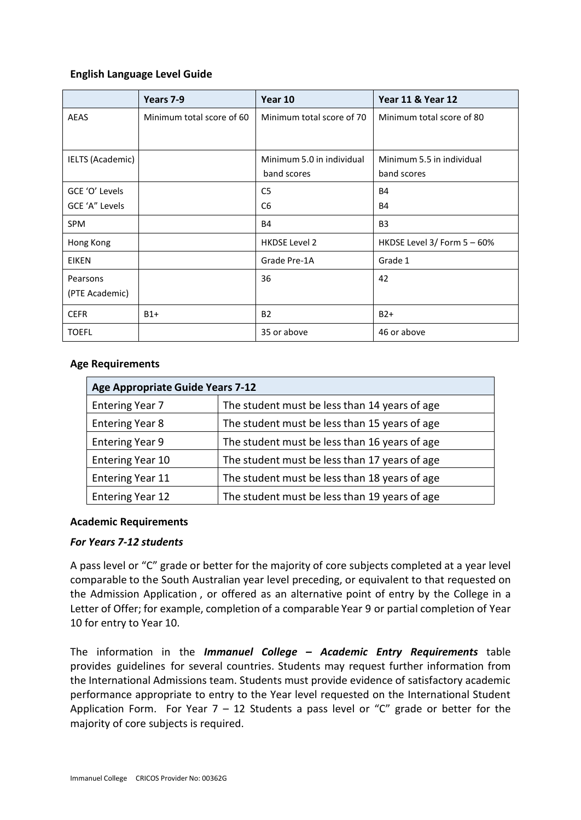# **English Language Level Guide**

|                         | Years 7-9                 | Year 10                   | <b>Year 11 &amp; Year 12</b> |
|-------------------------|---------------------------|---------------------------|------------------------------|
| <b>AEAS</b>             | Minimum total score of 60 | Minimum total score of 70 | Minimum total score of 80    |
|                         |                           |                           |                              |
| <b>IELTS (Academic)</b> |                           | Minimum 5.0 in individual | Minimum 5.5 in individual    |
|                         |                           | band scores               | band scores                  |
| GCE 'O' Levels          |                           | C <sub>5</sub>            | <b>B4</b>                    |
| GCE 'A" Levels          |                           | C <sub>6</sub>            | <b>B4</b>                    |
| <b>SPM</b>              |                           | <b>B4</b>                 | B <sub>3</sub>               |
| Hong Kong               |                           | <b>HKDSE Level 2</b>      | HKDSE Level 3/ Form 5 - 60%  |
| <b>EIKEN</b>            |                           | Grade Pre-1A              | Grade 1                      |
| Pearsons                |                           | 36                        | 42                           |
| (PTE Academic)          |                           |                           |                              |
| <b>CEFR</b>             | $B1+$                     | <b>B2</b>                 | $B2+$                        |
| <b>TOEFL</b>            |                           | 35 or above               | 46 or above                  |

## **Age Requirements**

| <b>Age Appropriate Guide Years 7-12</b> |                                               |  |  |  |
|-----------------------------------------|-----------------------------------------------|--|--|--|
| <b>Entering Year 7</b>                  | The student must be less than 14 years of age |  |  |  |
| <b>Entering Year 8</b>                  | The student must be less than 15 years of age |  |  |  |
| <b>Entering Year 9</b>                  | The student must be less than 16 years of age |  |  |  |
| <b>Entering Year 10</b>                 | The student must be less than 17 years of age |  |  |  |
| <b>Entering Year 11</b>                 | The student must be less than 18 years of age |  |  |  |
| <b>Entering Year 12</b>                 | The student must be less than 19 years of age |  |  |  |

#### **Academic Requirements**

#### *For Years 7-12 students*

A pass level or "C" grade or better for the majority of core subjects completed at a year level comparable to the South Australian year level preceding, or equivalent to that requested on the Admission Application , or offered as an alternative point of entry by the College in a Letter of Offer; for example, completion of a comparable Year 9 or partial completion of Year 10 for entry to Year 10.

The information in the *Immanuel College – Academic Entry Requirements* table provides guidelines for several countries. Students may request further information from the International Admissions team. Students must provide evidence of satisfactory academic performance appropriate to entry to the Year level requested on the International Student Application Form. For Year  $7 - 12$  Students a pass level or "C" grade or better for the majority of core subjects is required.